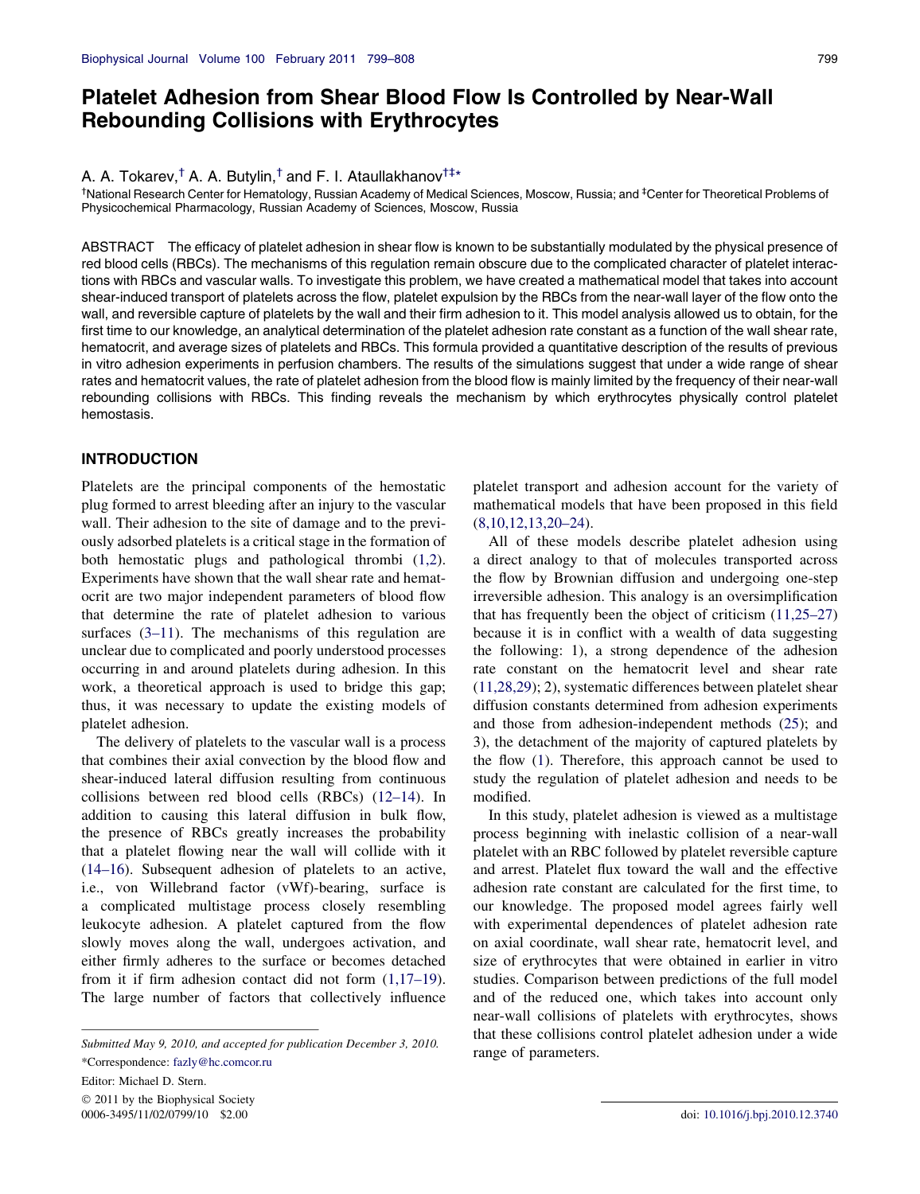# <span id="page-0-0"></span>Platelet Adhesion from Shear Blood Flow Is Controlled by Near-Wall Rebounding Collisions with Erythrocytes

A. A. Tokarev,<sup>†</sup> A. A. Butylin,<sup>†</sup> and F. I. Ataullakhanov<sup>†‡\*</sup>

† National Research Center for Hematology, Russian Academy of Medical Sciences, Moscow, Russia; and ‡ Center for Theoretical Problems of Physicochemical Pharmacology, Russian Academy of Sciences, Moscow, Russia

ABSTRACT The efficacy of platelet adhesion in shear flow is known to be substantially modulated by the physical presence of red blood cells (RBCs). The mechanisms of this regulation remain obscure due to the complicated character of platelet interactions with RBCs and vascular walls. To investigate this problem, we have created a mathematical model that takes into account shear-induced transport of platelets across the flow, platelet expulsion by the RBCs from the near-wall layer of the flow onto the wall, and reversible capture of platelets by the wall and their firm adhesion to it. This model analysis allowed us to obtain, for the first time to our knowledge, an analytical determination of the platelet adhesion rate constant as a function of the wall shear rate, hematocrit, and average sizes of platelets and RBCs. This formula provided a quantitative description of the results of previous in vitro adhesion experiments in perfusion chambers. The results of the simulations suggest that under a wide range of shear rates and hematocrit values, the rate of platelet adhesion from the blood flow is mainly limited by the frequency of their near-wall rebounding collisions with RBCs. This finding reveals the mechanism by which erythrocytes physically control platelet hemostasis.

## INTRODUCTION

Platelets are the principal components of the hemostatic plug formed to arrest bleeding after an injury to the vascular wall. Their adhesion to the site of damage and to the previously adsorbed platelets is a critical stage in the formation of both hemostatic plugs and pathological thrombi [\(1,2\)](#page-8-0). Experiments have shown that the wall shear rate and hematocrit are two major independent parameters of blood flow that determine the rate of platelet adhesion to various surfaces ([3–11\)](#page-8-0). The mechanisms of this regulation are unclear due to complicated and poorly understood processes occurring in and around platelets during adhesion. In this work, a theoretical approach is used to bridge this gap; thus, it was necessary to update the existing models of platelet adhesion.

The delivery of platelets to the vascular wall is a process that combines their axial convection by the blood flow and shear-induced lateral diffusion resulting from continuous collisions between red blood cells (RBCs) ([12–14\)](#page-8-0). In addition to causing this lateral diffusion in bulk flow, the presence of RBCs greatly increases the probability that a platelet flowing near the wall will collide with it ([14–16\)](#page-8-0). Subsequent adhesion of platelets to an active, i.e., von Willebrand factor (vWf)-bearing, surface is a complicated multistage process closely resembling leukocyte adhesion. A platelet captured from the flow slowly moves along the wall, undergoes activation, and either firmly adheres to the surface or becomes detached from it if firm adhesion contact did not form [\(1,17–19\)](#page-8-0). The large number of factors that collectively influence

Editor: Michael D. Stern.

 $© 2011$  by the Biophysical Society 0006-3495/11/02/0799/10 \$2.00 doi: [10.1016/j.bpj.2010.12.3740](http://dx.doi.org/10.1016/j.bpj.2010.12.3740)

platelet transport and adhesion account for the variety of mathematical models that have been proposed in this field  $(8,10,12,13,20-24)$ .

All of these models describe platelet adhesion using a direct analogy to that of molecules transported across the flow by Brownian diffusion and undergoing one-step irreversible adhesion. This analogy is an oversimplification that has frequently been the object of criticism ([11,25–27](#page-8-0)) because it is in conflict with a wealth of data suggesting the following: 1), a strong dependence of the adhesion rate constant on the hematocrit level and shear rate ([11,28,29\)](#page-8-0); 2), systematic differences between platelet shear diffusion constants determined from adhesion experiments and those from adhesion-independent methods [\(25](#page-8-0)); and 3), the detachment of the majority of captured platelets by the flow [\(1](#page-8-0)). Therefore, this approach cannot be used to study the regulation of platelet adhesion and needs to be modified.

In this study, platelet adhesion is viewed as a multistage process beginning with inelastic collision of a near-wall platelet with an RBC followed by platelet reversible capture and arrest. Platelet flux toward the wall and the effective adhesion rate constant are calculated for the first time, to our knowledge. The proposed model agrees fairly well with experimental dependences of platelet adhesion rate on axial coordinate, wall shear rate, hematocrit level, and size of erythrocytes that were obtained in earlier in vitro studies. Comparison between predictions of the full model and of the reduced one, which takes into account only near-wall collisions of platelets with erythrocytes, shows that these collisions control platelet adhesion under a wide

Submitted May 9, 2010, and accepted for publication December 3, 2010.<br> **Example 19 and 2010** Services 1, 2010, and accepted for publication December 3, 2010. \*Correspondence: [fazly@hc.comcor.ru](mailto:fazly@hc.comcor.ru)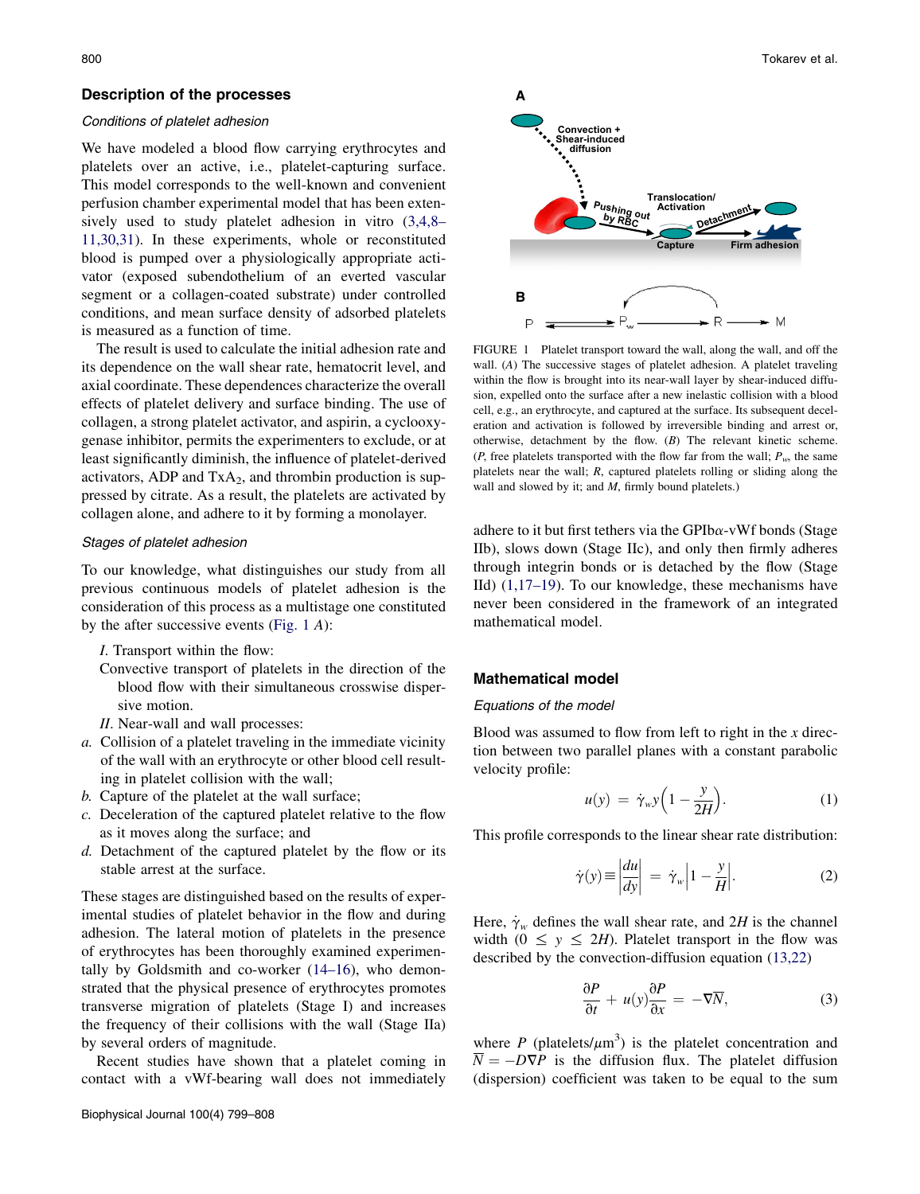#### <span id="page-1-0"></span>Description of the processes

#### Conditions of platelet adhesion

We have modeled a blood flow carrying erythrocytes and platelets over an active, i.e., platelet-capturing surface. This model corresponds to the well-known and convenient perfusion chamber experimental model that has been extensively used to study platelet adhesion in vitro ([3,4,8–](#page-8-0) [11,30,31](#page-8-0)). In these experiments, whole or reconstituted blood is pumped over a physiologically appropriate activator (exposed subendothelium of an everted vascular segment or a collagen-coated substrate) under controlled conditions, and mean surface density of adsorbed platelets is measured as a function of time.

The result is used to calculate the initial adhesion rate and its dependence on the wall shear rate, hematocrit level, and axial coordinate. These dependences characterize the overall effects of platelet delivery and surface binding. The use of collagen, a strong platelet activator, and aspirin, a cyclooxygenase inhibitor, permits the experimenters to exclude, or at least significantly diminish, the influence of platelet-derived activators, ADP and  $TxA_2$ , and thrombin production is suppressed by citrate. As a result, the platelets are activated by collagen alone, and adhere to it by forming a monolayer.

#### Stages of platelet adhesion

To our knowledge, what distinguishes our study from all previous continuous models of platelet adhesion is the consideration of this process as a multistage one constituted by the after successive events (Fig.  $1 \text{ } A$ ):

I. Transport within the flow:

- Convective transport of platelets in the direction of the blood flow with their simultaneous crosswise dispersive motion.
- II. Near-wall and wall processes:
- a. Collision of a platelet traveling in the immediate vicinity of the wall with an erythrocyte or other blood cell resulting in platelet collision with the wall;
- b. Capture of the platelet at the wall surface;
- c. Deceleration of the captured platelet relative to the flow as it moves along the surface; and
- d. Detachment of the captured platelet by the flow or its stable arrest at the surface.

These stages are distinguished based on the results of experimental studies of platelet behavior in the flow and during adhesion. The lateral motion of platelets in the presence of erythrocytes has been thoroughly examined experimentally by Goldsmith and co-worker ([14–16\)](#page-8-0), who demonstrated that the physical presence of erythrocytes promotes transverse migration of platelets (Stage I) and increases the frequency of their collisions with the wall (Stage IIa) by several orders of magnitude.

Recent studies have shown that a platelet coming in contact with a vWf-bearing wall does not immediately



FIGURE 1 Platelet transport toward the wall, along the wall, and off the wall. (A) The successive stages of platelet adhesion. A platelet traveling within the flow is brought into its near-wall layer by shear-induced diffusion, expelled onto the surface after a new inelastic collision with a blood cell, e.g., an erythrocyte, and captured at the surface. Its subsequent deceleration and activation is followed by irreversible binding and arrest or, otherwise, detachment by the flow.  $(B)$  The relevant kinetic scheme. (*P*, free platelets transported with the flow far from the wall;  $P_w$ , the same platelets near the wall;  $R$ , captured platelets rolling or sliding along the wall and slowed by it; and *M*, firmly bound platelets.)

adhere to it but first tethers via the GPIb $\alpha$ -vWf bonds (Stage IIb), slows down (Stage IIc), and only then firmly adheres through integrin bonds or is detached by the flow (Stage IId) [\(1,17–19\)](#page-8-0). To our knowledge, these mechanisms have never been considered in the framework of an integrated mathematical model.

#### Mathematical model

#### Equations of the model

Blood was assumed to flow from left to right in the  $x$  direction between two parallel planes with a constant parabolic velocity profile:

$$
u(y) = \dot{\gamma}_w y \left( 1 - \frac{y}{2H} \right). \tag{1}
$$

This profile corresponds to the linear shear rate distribution:

$$
\dot{\gamma}(y) \equiv \left| \frac{du}{dy} \right| = \dot{\gamma}_w \left| 1 - \frac{y}{H} \right|.
$$
 (2)

Here,  $\dot{\gamma}_w$  defines the wall shear rate, and 2H is the channel width ( $0 \le y \le 2H$ ). Platelet transport in the flow was described by the convection-diffusion equation ([13,22](#page-8-0))

$$
\frac{\partial P}{\partial t} + u(y)\frac{\partial P}{\partial x} = -\nabla \overline{N},\tag{3}
$$

where P (platelets/ $\mu$ m<sup>3</sup>) is the platelet concentration and  $\overline{N} = -D\nabla P$  is the diffusion flux. The platelet diffusion (dispersion) coefficient was taken to be equal to the sum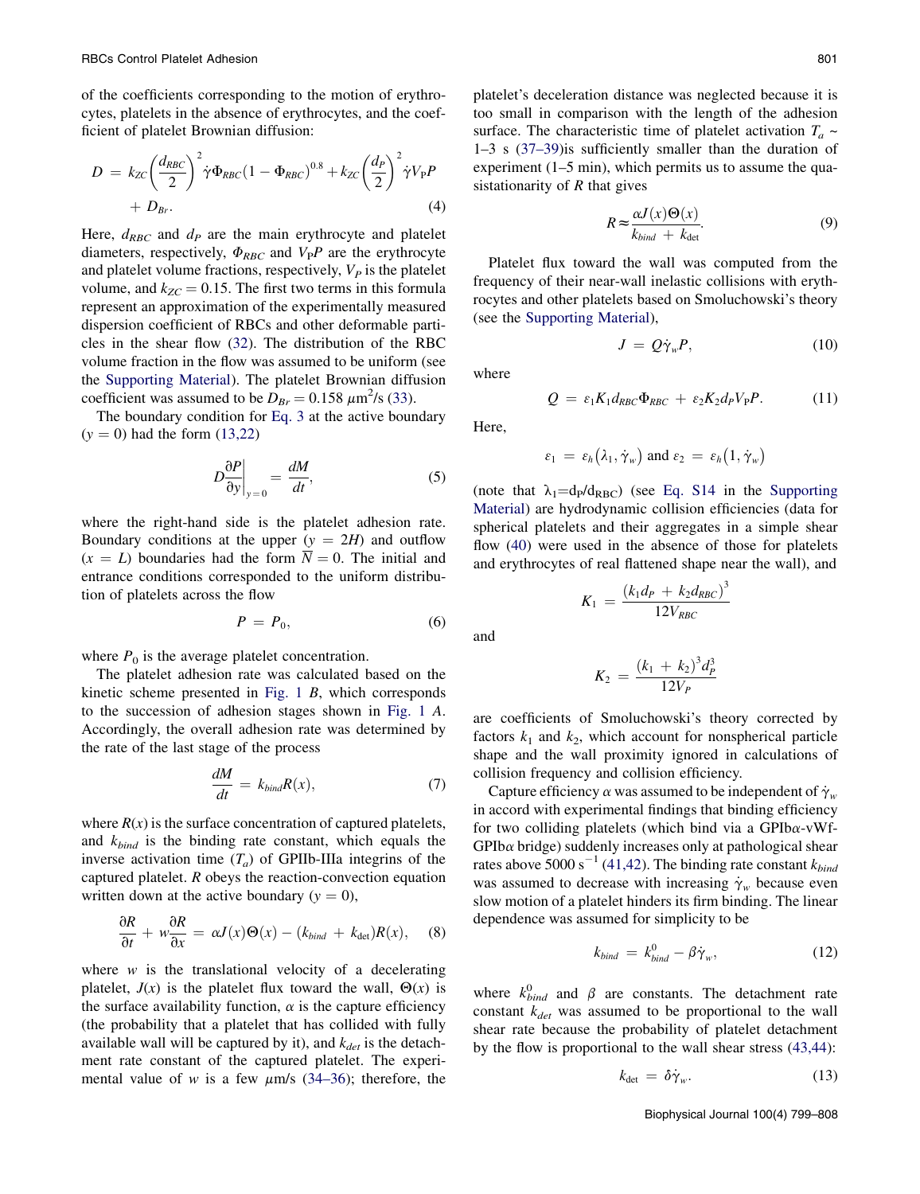of the coefficients corresponding to the motion of erythrocytes, platelets in the absence of erythrocytes, and the coefficient of platelet Brownian diffusion:

$$
D = k_{ZC} \left(\frac{d_{RBC}}{2}\right)^2 \dot{\gamma} \Phi_{RBC} (1 - \Phi_{RBC})^{0.8} + k_{ZC} \left(\frac{d_P}{2}\right)^2 \dot{\gamma} V_P P
$$
  
+  $D_{Br}$ . (4)

Here,  $d_{RBC}$  and  $d_P$  are the main erythrocyte and platelet diameters, respectively,  $\Phi_{RBC}$  and  $V_{P}P$  are the erythrocyte and platelet volume fractions, respectively,  $V_P$  is the platelet volume, and  $k_{ZC} = 0.15$ . The first two terms in this formula represent an approximation of the experimentally measured dispersion coefficient of RBCs and other deformable particles in the shear flow ([32\)](#page-9-0). The distribution of the RBC volume fraction in the flow was assumed to be uniform (see the [Supporting Material\)](#page-8-0). The platelet Brownian diffusion coefficient was assumed to be  $D_{Br} = 0.158 \ \mu \text{m}^2/\text{s}$  [\(33](#page-9-0)).

The boundary condition for Eq. 3 at the active boundary  $(y = 0)$  had the form  $(13,22)$  $(13,22)$  $(13,22)$ 

$$
D\frac{\partial P}{\partial y}\Big|_{y=0} = \frac{dM}{dt},\tag{5}
$$

where the right-hand side is the platelet adhesion rate. Boundary conditions at the upper  $(y = 2H)$  and outflow  $(x = L)$  boundaries had the form  $\overline{N} = 0$ . The initial and entrance conditions corresponded to the uniform distribution of platelets across the flow

$$
P = P_0,\t\t(6)
$$

where  $P_0$  is the average platelet concentration.

The platelet adhesion rate was calculated based on the kinetic scheme presented in [Fig. 1](#page-1-0) B, which corresponds to the succession of adhesion stages shown in [Fig. 1](#page-1-0) A. Accordingly, the overall adhesion rate was determined by the rate of the last stage of the process

$$
\frac{dM}{dt} = k_{bind}R(x),\tag{7}
$$

where  $R(x)$  is the surface concentration of captured platelets, and  $k_{bind}$  is the binding rate constant, which equals the inverse activation time  $(T_a)$  of GPIIb-IIIa integrins of the captured platelet. R obeys the reaction-convection equation written down at the active boundary ( $y = 0$ ),

$$
\frac{\partial R}{\partial t} + w \frac{\partial R}{\partial x} = \alpha J(x) \Theta(x) - (k_{bind} + k_{det}) R(x), \quad (8)
$$

where  $w$  is the translational velocity of a decelerating platelet,  $J(x)$  is the platelet flux toward the wall,  $\Theta(x)$  is the surface availability function,  $\alpha$  is the capture efficiency (the probability that a platelet that has collided with fully available wall will be captured by it), and  $k_{det}$  is the detachment rate constant of the captured platelet. The experimental value of w is a few  $\mu$ m/s ([34–36\)](#page-9-0); therefore, the platelet's deceleration distance was neglected because it is too small in comparison with the length of the adhesion surface. The characteristic time of platelet activation  $T_a \sim$ 1–3 s ([37–39\)](#page-9-0)is sufficiently smaller than the duration of experiment (1–5 min), which permits us to assume the quasistationarity of  $R$  that gives

$$
R \approx \frac{\alpha J(x)\Theta(x)}{k_{bind} + k_{\text{det}}}.\tag{9}
$$

Platelet flux toward the wall was computed from the frequency of their near-wall inelastic collisions with erythrocytes and other platelets based on Smoluchowski's theory (see the [Supporting Material](#page-8-0)),

$$
J = Q\dot{\gamma}_w P, \qquad (10)
$$

where

$$
Q = \varepsilon_1 K_1 d_{RBC} \Phi_{RBC} + \varepsilon_2 K_2 d_P V_P P. \tag{11}
$$

Here,

 $\varepsilon_1 = \varepsilon_h(\lambda_1, \dot{\gamma}_w)$  and  $\varepsilon_2 = \varepsilon_h(1, \dot{\gamma}_w)$ 

(note that  $\lambda_1 = d_P/d_{RBC}$ ) (see [Eq. S14](#page-8-0) in the [Supporting](#page-8-0) [Material](#page-8-0)) are hydrodynamic collision efficiencies (data for spherical platelets and their aggregates in a simple shear flow [\(40](#page-9-0)) were used in the absence of those for platelets and erythrocytes of real flattened shape near the wall), and

$$
K_1 = \frac{(k_1 d_P + k_2 d_{RBC})^3}{12 V_{RBC}}
$$

and

$$
K_2 = \frac{(k_1 + k_2)^3 d_p^3}{12 V_P}
$$

are coefficients of Smoluchowski's theory corrected by factors  $k_1$  and  $k_2$ , which account for nonspherical particle shape and the wall proximity ignored in calculations of collision frequency and collision efficiency.

Capture efficiency  $\alpha$  was assumed to be independent of  $\dot{\gamma}_w$ in accord with experimental findings that binding efficiency for two colliding platelets (which bind via a GPIb $\alpha$ -vWf- $GPI\mathbf{b}\alpha$  bridge) suddenly increases only at pathological shear rates above 5000 s<sup>-1</sup> [\(41,42\)](#page-9-0). The binding rate constant  $k_{bind}$ was assumed to decrease with increasing  $\dot{\gamma}_w$  because even slow motion of a platelet hinders its firm binding. The linear dependence was assumed for simplicity to be

$$
k_{bind} = k_{bind}^0 - \beta \dot{\gamma}_w, \qquad (12)
$$

where  $k_{bind}^0$  and  $\beta$  are constants. The detachment rate constant  $k_{det}$  was assumed to be proportional to the wall shear rate because the probability of platelet detachment by the flow is proportional to the wall shear stress ([43,44](#page-9-0)):

$$
k_{\det} = \delta \dot{\gamma}_w. \tag{13}
$$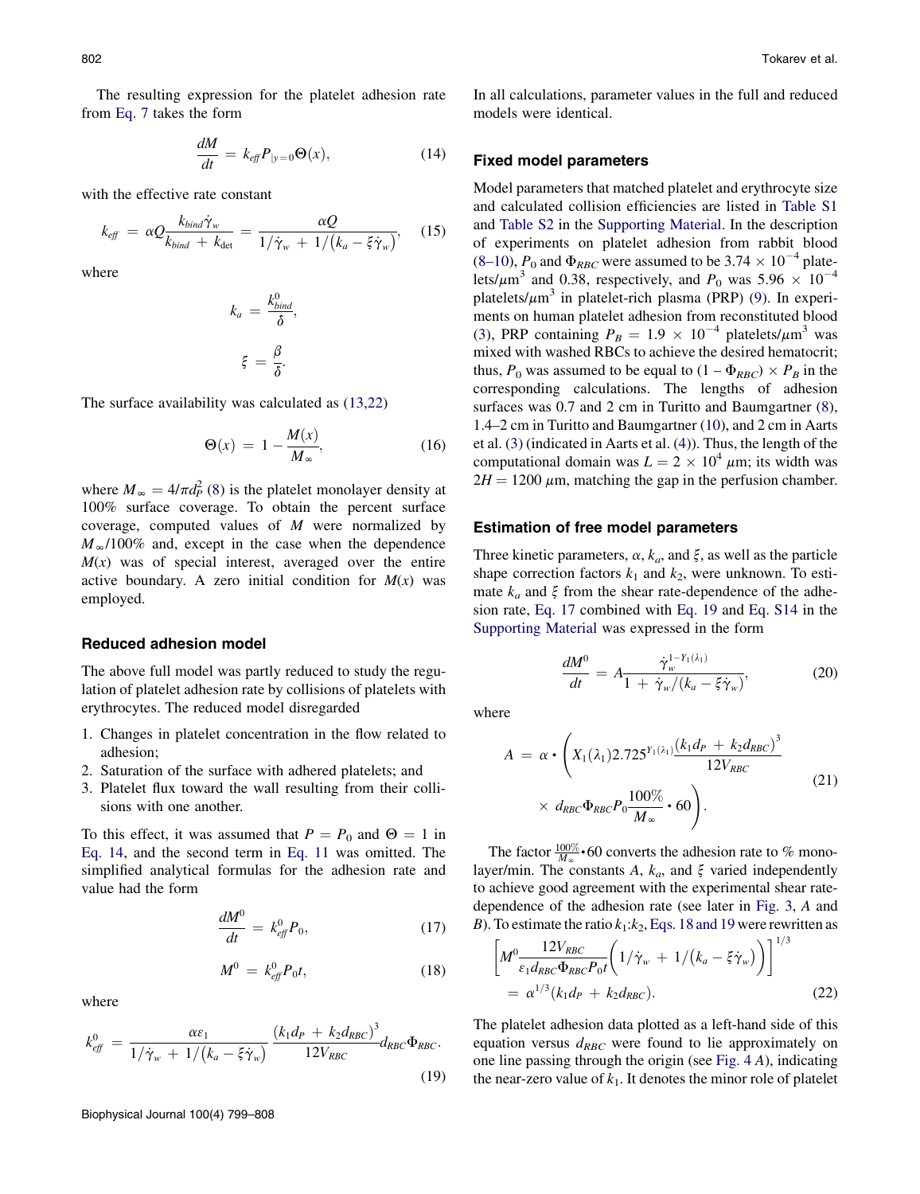<span id="page-3-0"></span>The resulting expression for the platelet adhesion rate from Eq. 7 takes the form

$$
\frac{dm}{dt} = k_{\text{eff}} P_{|y=0} \Theta(x), \qquad (14)
$$

with the effective rate constant

dM

$$
k_{\text{eff}} = \alpha Q \frac{k_{\text{bind}} \dot{\gamma}_w}{k_{\text{bind}} + k_{\text{det}}} = \frac{\alpha Q}{1/\dot{\gamma}_w + 1/(k_a - \xi \dot{\gamma}_w)}, \quad (15)
$$

where

$$
k_a = \frac{k_{bind}^0}{\delta},
$$

$$
\xi = \frac{\beta}{\delta}.
$$

The surface availability was calculated as ([13,22](#page-8-0))

$$
\Theta(x) = 1 - \frac{M(x)}{M_{\infty}},
$$
\n(16)

where  $M_{\infty} = 4/\pi d_P^2$  [\(8](#page-8-0)) is the platelet monolayer density at 100% surface coverage. To obtain the percent surface coverage, computed values of M were normalized by  $M_{\infty}/100\%$  and, except in the case when the dependence  $M(x)$  was of special interest, averaged over the entire active boundary. A zero initial condition for  $M(x)$  was employed.

#### Reduced adhesion model

The above full model was partly reduced to study the regulation of platelet adhesion rate by collisions of platelets with erythrocytes. The reduced model disregarded

- 1. Changes in platelet concentration in the flow related to adhesion;
- 2. Saturation of the surface with adhered platelets; and
- 3. Platelet flux toward the wall resulting from their collisions with one another.

To this effect, it was assumed that  $P = P_0$  and  $\Theta = 1$  in Eq. 14, and the second term in Eq. 11 was omitted. The simplified analytical formulas for the adhesion rate and value had the form

$$
\frac{dM^0}{dt} = k_{\text{eff}}^0 P_0,\tag{17}
$$

$$
M^0 = k_{\text{eff}}^0 P_0 t, \qquad (18)
$$

where

$$
k_{\text{eff}}^{0} = \frac{\alpha \varepsilon_{1}}{1/\dot{\gamma}_{w} + 1/(k_{a} - \xi \dot{\gamma}_{w})} \frac{(k_{1}d_{P} + k_{2}d_{RBC})^{3}}{12V_{RBC}} d_{RBC} \Phi_{RBC}.
$$
\n(19)

In all calculations, parameter values in the full and reduced models were identical.

### Fixed model parameters

Model parameters that matched platelet and erythrocyte size and calculated collision efficiencies are listed in [Table S1](#page-8-0) and [Table S2](#page-8-0) in the [Supporting Material](#page-8-0). In the description of experiments on platelet adhesion from rabbit blood  $(8-10)$ ,  $P_0$  and  $\Phi_{RBC}$  were assumed to be 3.74  $\times$  10<sup>-4</sup> platelets/ $\mu$ m<sup>3</sup> and 0.38, respectively, and P<sub>0</sub> was 5.96  $\times$  10<sup>-4</sup> platelets/ $\mu$ m<sup>3</sup> in platelet-rich plasma (PRP) ([9\)](#page-8-0). In experiments on human platelet adhesion from reconstituted blood ([3\)](#page-8-0), PRP containing  $P_B = 1.9 \times 10^{-4}$  platelets/ $\mu$ m<sup>3</sup> was mixed with washed RBCs to achieve the desired hematocrit; thus,  $P_0$  was assumed to be equal to  $(1 - \Phi_{RBC}) \times P_B$  in the corresponding calculations. The lengths of adhesion surfaces was 0.7 and 2 cm in Turitto and Baumgartner ([8\)](#page-8-0), 1.4–2 cm in Turitto and Baumgartner ([10\)](#page-8-0), and 2 cm in Aarts et al. ([3\)](#page-8-0) (indicated in Aarts et al. [\(4](#page-8-0))). Thus, the length of the computational domain was  $L = 2 \times 10^4 \mu$ m; its width was  $2H = 1200 \mu$ m, matching the gap in the perfusion chamber.

#### Estimation of free model parameters

Three kinetic parameters,  $\alpha$ ,  $k_a$ , and  $\xi$ , as well as the particle shape correction factors  $k_1$  and  $k_2$ , were unknown. To estimate  $k_a$  and  $\xi$  from the shear rate-dependence of the adhesion rate, Eq. 17 combined with Eq. 19 and [Eq. S14](#page-8-0) in the [Supporting Material](#page-8-0) was expressed in the form

$$
\frac{dM^{0}}{dt} = A \frac{\dot{\gamma}_{w}^{1-Y_{1}(\lambda_{1})}}{1 + \dot{\gamma}_{w}/(k_{a} - \xi \dot{\gamma}_{w})},
$$
(20)

where

$$
A = \alpha \cdot \left( X_1(\lambda_1) 2.725^{Y_1(\lambda_1)} \frac{(k_1 d_P + k_2 d_{RBC})^3}{12 V_{RBC}} \times d_{RBC} \Phi_{RBC} P_0 \frac{100\%}{M_\infty} \cdot 60 \right).
$$
\n(21)

The factor  $\frac{100\%}{M_{\infty}}$  60 converts the adhesion rate to % monolayer/min. The constants A,  $k_a$ , and  $\xi$  varied independently to achieve good agreement with the experimental shear ratedependence of the adhesion rate (see later in [Fig. 3,](#page-5-0) A and B). To estimate the ratio  $k_1:k_2$ , Eqs. 18 and 19 were rewritten as

$$
\left[M^0 \frac{12V_{RBC}}{\varepsilon_1 d_{RBC} \Phi_{RBC} P_0 t} \left(1/\dot{\gamma}_w + 1/(k_a - \xi \dot{\gamma}_w)\right)\right]^{1/3}
$$
  
=  $\alpha^{1/3} (k_1 d_P + k_2 d_{RBC}).$  (22)

The platelet adhesion data plotted as a left-hand side of this equation versus  $d_{RBC}$  were found to lie approximately on one line passing through the origin (see [Fig. 4](#page-6-0) A), indicating the near-zero value of  $k_1$ . It denotes the minor role of platelet

Biophysical Journal 100(4) 799–808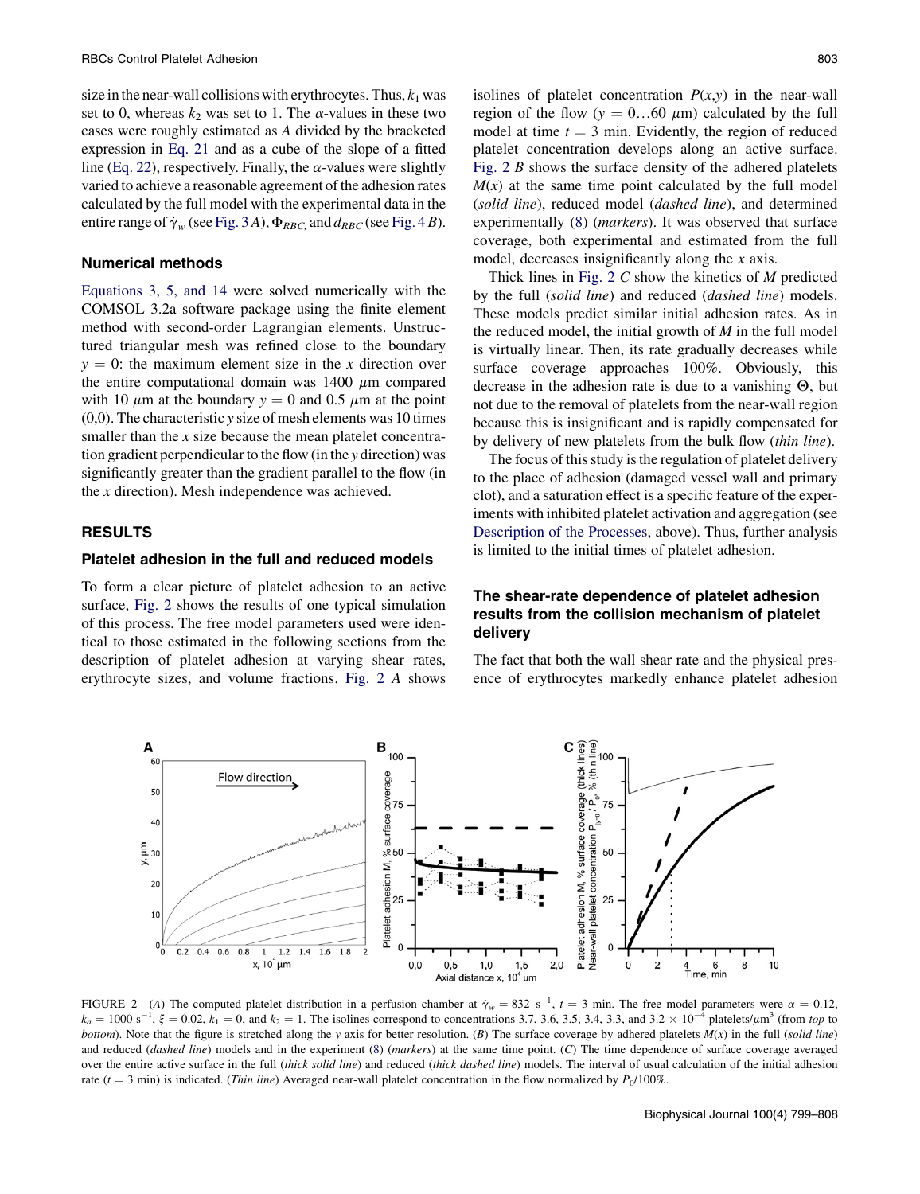size in the near-wall collisions with erythrocytes. Thus,  $k_1$  was set to 0, whereas  $k_2$  was set to 1. The  $\alpha$ -values in these two cases were roughly estimated as A divided by the bracketed expression in Eq. 21 and as a cube of the slope of a fitted line (Eq. 22), respectively. Finally, the  $\alpha$ -values were slightly varied to achieve a reasonable agreement of the adhesion rates calculated by the full model with the experimental data in the entire range of  $\dot{\gamma}_w$  (see [Fig. 3](#page-5-0) A),  $\Phi_{RBC}$  and  $d_{RBC}$  (see [Fig. 4](#page-6-0) B).

#### Numerical methods

Equations 3, 5, and 14 were solved numerically with the COMSOL 3.2a software package using the finite element method with second-order Lagrangian elements. Unstructured triangular mesh was refined close to the boundary  $y = 0$ : the maximum element size in the x direction over the entire computational domain was  $1400 \mu m$  compared with 10  $\mu$ m at the boundary y = 0 and 0.5  $\mu$ m at the point (0,0). The characteristic y size of mesh elements was 10 times smaller than the x size because the mean platelet concentration gradient perpendicular to the flow (in the y direction) was significantly greater than the gradient parallel to the flow (in the x direction). Mesh independence was achieved.

# RESULTS

## Platelet adhesion in the full and reduced models

To form a clear picture of platelet adhesion to an active surface, Fig. 2 shows the results of one typical simulation of this process. The free model parameters used were identical to those estimated in the following sections from the description of platelet adhesion at varying shear rates, erythrocyte sizes, and volume fractions. Fig. 2 A shows isolines of platelet concentration  $P(x,y)$  in the near-wall region of the flow ( $y = 0...60 \mu m$ ) calculated by the full model at time  $t = 3$  min. Evidently, the region of reduced platelet concentration develops along an active surface. Fig. 2 B shows the surface density of the adhered platelets  $M(x)$  at the same time point calculated by the full model (solid line), reduced model (dashed line), and determined experimentally [\(8](#page-8-0)) (markers). It was observed that surface coverage, both experimental and estimated from the full model, decreases insignificantly along the  $x$  axis.

Thick lines in Fig. 2  $C$  show the kinetics of  $M$  predicted by the full (solid line) and reduced (dashed line) models. These models predict similar initial adhesion rates. As in the reduced model, the initial growth of  $M$  in the full model is virtually linear. Then, its rate gradually decreases while surface coverage approaches 100%. Obviously, this decrease in the adhesion rate is due to a vanishing  $\Theta$ , but not due to the removal of platelets from the near-wall region because this is insignificant and is rapidly compensated for by delivery of new platelets from the bulk flow (thin line).

The focus of this study is the regulation of platelet delivery to the place of adhesion (damaged vessel wall and primary clot), and a saturation effect is a specific feature of the experiments with inhibited platelet activation and aggregation (see [Description of the Processes,](#page-0-0) above). Thus, further analysis is limited to the initial times of platelet adhesion.

# The shear-rate dependence of platelet adhesion results from the collision mechanism of platelet delivery

The fact that both the wall shear rate and the physical presence of erythrocytes markedly enhance platelet adhesion



FIGURE 2 (A) The computed platelet distribution in a perfusion chamber at  $\dot{\gamma}_w = 832 \text{ s}^{-1}$ ,  $t = 3 \text{ min}$ . The free model parameters were  $\alpha = 0.12$ ,  $k_a = 1000 \text{ s}^{-1}$ ,  $\xi = 0.02$ ,  $k_1 = 0$ , and  $k_2 = 1$ . The isolines correspond to concentrations 3.7, 3.6, 3.5, 3.4, 3.3, and 3.2 × 10<sup>-4</sup> platelets/ $\mu$ m<sup>3</sup> (from top to bottom). Note that the figure is stretched along the y axis for better resolution. (B) The surface coverage by adhered platelets  $M(x)$  in the full (solid line) and reduced (dashed line) models and in the experiment ([8\)](#page-8-0) (markers) at the same time point. (C) The time dependence of surface coverage averaged over the entire active surface in the full (thick solid line) and reduced (thick dashed line) models. The interval of usual calculation of the initial adhesion rate ( $t = 3$  min) is indicated. (Thin line) Averaged near-wall platelet concentration in the flow normalized by  $P_0/100\%$ .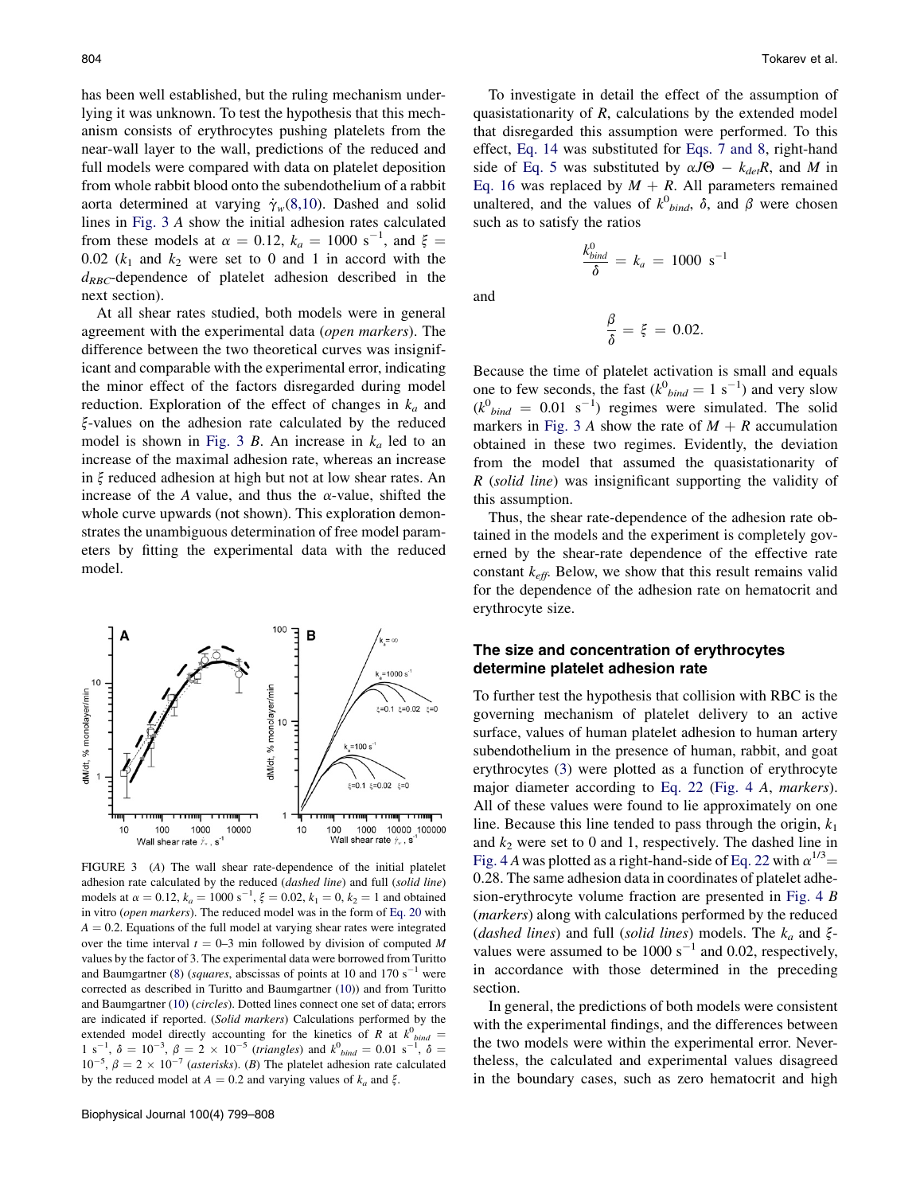<span id="page-5-0"></span>has been well established, but the ruling mechanism underlying it was unknown. To test the hypothesis that this mechanism consists of erythrocytes pushing platelets from the near-wall layer to the wall, predictions of the reduced and full models were compared with data on platelet deposition from whole rabbit blood onto the subendothelium of a rabbit aorta determined at varying  $\dot{\gamma}_w(8,10)$  $\dot{\gamma}_w(8,10)$  $\dot{\gamma}_w(8,10)$ . Dashed and solid lines in Fig. 3 A show the initial adhesion rates calculated from these models at  $\alpha = 0.12$ ,  $k_a = 1000 \text{ s}^{-1}$ , and  $\xi =$ 0.02  $(k_1$  and  $k_2$  were set to 0 and 1 in accord with the  $d_{RBC}$ -dependence of platelet adhesion described in the next section).

At all shear rates studied, both models were in general agreement with the experimental data (open markers). The difference between the two theoretical curves was insignificant and comparable with the experimental error, indicating the minor effect of the factors disregarded during model reduction. Exploration of the effect of changes in  $k_a$  and  $\xi$ -values on the adhesion rate calculated by the reduced model is shown in Fig. 3 B. An increase in  $k_a$  led to an increase of the maximal adhesion rate, whereas an increase in  $\xi$  reduced adhesion at high but not at low shear rates. An increase of the A value, and thus the  $\alpha$ -value, shifted the whole curve upwards (not shown). This exploration demonstrates the unambiguous determination of free model parameters by fitting the experimental data with the reduced model.



FIGURE 3 (A) The wall shear rate-dependence of the initial platelet adhesion rate calculated by the reduced (dashed line) and full (solid line) models at  $\alpha = 0.12$ ,  $k_a = 1000 \text{ s}^{-1}$ ,  $\xi = 0.02$ ,  $k_1 = 0$ ,  $k_2 = 1$  and obtained in vitro (open markers). The reduced model was in the form of Eq. 20 with  $A = 0.2$ . Equations of the full model at varying shear rates were integrated over the time interval  $t = 0$ –3 min followed by division of computed M values by the factor of 3. The experimental data were borrowed from Turitto and Baumgartner [\(8](#page-8-0)) (squares, abscissas of points at 10 and 170 s<sup>-1</sup> were corrected as described in Turitto and Baumgartner ([10\)](#page-8-0)) and from Turitto and Baumgartner [\(10](#page-8-0)) (circles). Dotted lines connect one set of data; errors are indicated if reported. (Solid markers) Calculations performed by the extended model directly accounting for the kinetics of R at  $k_{bind}^0$  =  $1 \text{ s}^{-1}$ ,  $\delta = 10^{-3}$ ,  $\beta = 2 \times 10^{-5}$  (triangles) and  $k^0_{bind} = 0.01 \text{ s}^{-1}$ ,  $\delta =$  $10^{-5}$ ,  $\beta = 2 \times 10^{-7}$  (asterisks). (B) The platelet adhesion rate calculated by the reduced model at  $A = 0.2$  and varying values of  $k_a$  and  $\xi$ .

To investigate in detail the effect of the assumption of quasistationarity of  $R$ , calculations by the extended model that disregarded this assumption were performed. To this effect, Eq. 14 was substituted for Eqs. 7 and 8, right-hand side of Eq. 5 was substituted by  $\alpha J\Theta - k_{det}R$ , and M in Eq. 16 was replaced by  $M + R$ . All parameters remained unaltered, and the values of  $k^0_{bind}$ ,  $\delta$ , and  $\beta$  were chosen such as to satisfy the ratios

and

$$
\frac{\beta}{\delta}\,=\,\xi\,=\,0.02.
$$

 $\frac{k^0_{bind}}{\delta} = k_a = 1000 \text{ s}^{-1}$ 

Because the time of platelet activation is small and equals one to few seconds, the fast  $(k^0_{bind} = 1 \text{ s}^{-1})$  and very slow  $(k^0_{bind} = 0.01 \text{ s}^{-1})$  regimes were simulated. The solid markers in Fig. 3 A show the rate of  $M + R$  accumulation obtained in these two regimes. Evidently, the deviation from the model that assumed the quasistationarity of R (solid line) was insignificant supporting the validity of this assumption.

Thus, the shear rate-dependence of the adhesion rate obtained in the models and the experiment is completely governed by the shear-rate dependence of the effective rate constant  $k_{\text{eff}}$ . Below, we show that this result remains valid for the dependence of the adhesion rate on hematocrit and erythrocyte size.

# The size and concentration of erythrocytes determine platelet adhesion rate

To further test the hypothesis that collision with RBC is the governing mechanism of platelet delivery to an active surface, values of human platelet adhesion to human artery subendothelium in the presence of human, rabbit, and goat erythrocytes ([3](#page-8-0)) were plotted as a function of erythrocyte major diameter according to Eq. 22 ([Fig. 4](#page-6-0) A, markers). All of these values were found to lie approximately on one line. Because this line tended to pass through the origin,  $k_1$ and  $k_2$  were set to 0 and 1, respectively. The dashed line in [Fig. 4](#page-6-0) A was plotted as a right-hand-side of Eq. 22 with  $\alpha^{1/3}$  = 0.28. The same adhesion data in coordinates of platelet adhesion-erythrocyte volume fraction are presented in [Fig. 4](#page-6-0) B (markers) along with calculations performed by the reduced (dashed lines) and full (solid lines) models. The  $k_a$  and  $\xi$ values were assumed to be  $1000 \text{ s}^{-1}$  and 0.02, respectively, in accordance with those determined in the preceding section.

In general, the predictions of both models were consistent with the experimental findings, and the differences between the two models were within the experimental error. Nevertheless, the calculated and experimental values disagreed in the boundary cases, such as zero hematocrit and high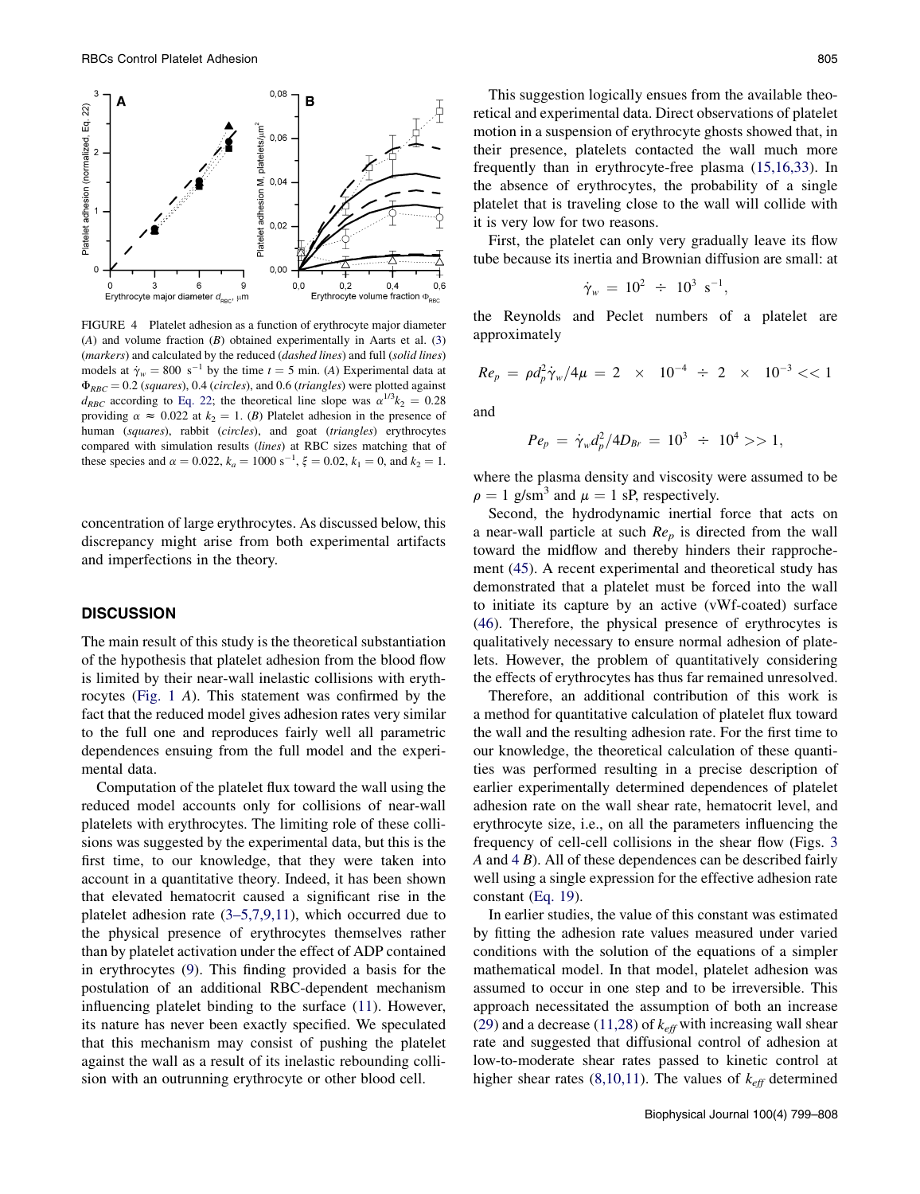<span id="page-6-0"></span>

FIGURE 4 Platelet adhesion as a function of erythrocyte major diameter  $(A)$  and volume fraction  $(B)$  obtained experimentally in Aarts et al.  $(3)$  $(3)$ (*markers*) and calculated by the reduced (*dashed lines*) and full (*solid lines*) models at  $\dot{\gamma}_w = 800 \text{ s}^{-1}$  by the time  $t = 5 \text{ min.}$  (A) Experimental data at  $\Phi_{RBC} = 0.2$  (squares), 0.4 (circles), and 0.6 (triangles) were plotted against  $d_{RBC}$  according to Eq. 22; the theoretical line slope was  $\alpha^{1/3}k_2 = 0.28$ providing  $\alpha \approx 0.022$  at  $k_2 = 1$ . (B) Platelet adhesion in the presence of human (squares), rabbit (circles), and goat (triangles) erythrocytes compared with simulation results (lines) at RBC sizes matching that of these species and  $\alpha = 0.022$ ,  $k_a = 1000 \text{ s}^{-1}$ ,  $\xi = 0.02$ ,  $k_1 = 0$ , and  $k_2 = 1$ .

concentration of large erythrocytes. As discussed below, this discrepancy might arise from both experimental artifacts and imperfections in the theory.

## **DISCUSSION**

The main result of this study is the theoretical substantiation of the hypothesis that platelet adhesion from the blood flow is limited by their near-wall inelastic collisions with erythrocytes ([Fig. 1](#page-1-0) A). This statement was confirmed by the fact that the reduced model gives adhesion rates very similar to the full one and reproduces fairly well all parametric dependences ensuing from the full model and the experimental data.

Computation of the platelet flux toward the wall using the reduced model accounts only for collisions of near-wall platelets with erythrocytes. The limiting role of these collisions was suggested by the experimental data, but this is the first time, to our knowledge, that they were taken into account in a quantitative theory. Indeed, it has been shown that elevated hematocrit caused a significant rise in the platelet adhesion rate ([3–5,7,9,11](#page-8-0)), which occurred due to the physical presence of erythrocytes themselves rather than by platelet activation under the effect of ADP contained in erythrocytes [\(9](#page-8-0)). This finding provided a basis for the postulation of an additional RBC-dependent mechanism influencing platelet binding to the surface ([11\)](#page-8-0). However, its nature has never been exactly specified. We speculated that this mechanism may consist of pushing the platelet against the wall as a result of its inelastic rebounding collision with an outrunning erythrocyte or other blood cell.

This suggestion logically ensues from the available theoretical and experimental data. Direct observations of platelet motion in a suspension of erythrocyte ghosts showed that, in their presence, platelets contacted the wall much more frequently than in erythrocyte-free plasma ([15,16,33\)](#page-8-0). In the absence of erythrocytes, the probability of a single platelet that is traveling close to the wall will collide with it is very low for two reasons.

First, the platelet can only very gradually leave its flow tube because its inertia and Brownian diffusion are small: at

$$
\dot{\gamma}_w = 10^2 \div 10^3 \text{ s}^{-1},
$$

the Reynolds and Peclet numbers of a platelet are approximately

$$
Re_p = \rho d_p^2 \dot{\gamma}_w / 4\mu = 2 \times 10^{-4} \div 2 \times 10^{-3} \ll 1
$$

and

$$
Pe_p = \dot{\gamma}_w d_p^2 / 4D_{Br} = 10^3 \div 10^4 >> 1,
$$

where the plasma density and viscosity were assumed to be  $\rho = 1$  g/sm<sup>3</sup> and  $\mu = 1$  sP, respectively.

Second, the hydrodynamic inertial force that acts on a near-wall particle at such  $Re_p$  is directed from the wall toward the midflow and thereby hinders their rapprochement ([45\)](#page-9-0). A recent experimental and theoretical study has demonstrated that a platelet must be forced into the wall to initiate its capture by an active (vWf-coated) surface ([46\)](#page-9-0). Therefore, the physical presence of erythrocytes is qualitatively necessary to ensure normal adhesion of platelets. However, the problem of quantitatively considering the effects of erythrocytes has thus far remained unresolved.

Therefore, an additional contribution of this work is a method for quantitative calculation of platelet flux toward the wall and the resulting adhesion rate. For the first time to our knowledge, the theoretical calculation of these quantities was performed resulting in a precise description of earlier experimentally determined dependences of platelet adhesion rate on the wall shear rate, hematocrit level, and erythrocyte size, i.e., on all the parameters influencing the frequency of cell-cell collisions in the shear flow (Figs. [3](#page-5-0)  $A$  and  $4B$ ). All of these dependences can be described fairly well using a single expression for the effective adhesion rate constant (Eq. 19).

In earlier studies, the value of this constant was estimated by fitting the adhesion rate values measured under varied conditions with the solution of the equations of a simpler mathematical model. In that model, platelet adhesion was assumed to occur in one step and to be irreversible. This approach necessitated the assumption of both an increase ([29\)](#page-8-0) and a decrease ([11,28](#page-8-0)) of  $k_{\text{eff}}$  with increasing wall shear rate and suggested that diffusional control of adhesion at low-to-moderate shear rates passed to kinetic control at higher shear rates ([8,10,11\)](#page-8-0). The values of  $k_{\text{eff}}$  determined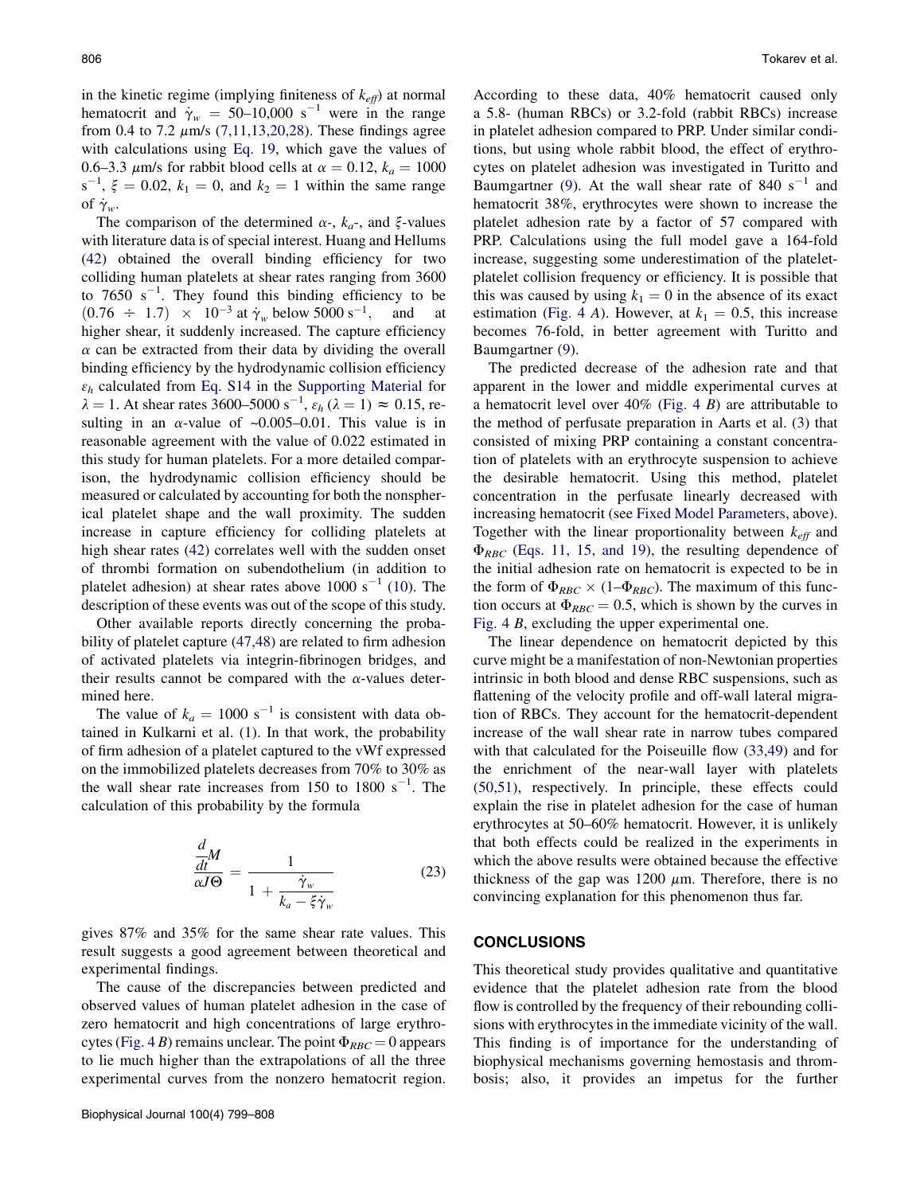in the kinetic regime (implying finiteness of  $k_{\text{eff}}$ ) at normal hematocrit and  $\dot{\gamma}_w = 50$ –10,000 s<sup>-1</sup> were in the range from 0.4 to 7.2  $\mu$ m/s ([7,11,13,20,28\)](#page-8-0). These findings agree with calculations using Eq. 19, which gave the values of 0.6–3.3  $\mu$ m/s for rabbit blood cells at  $\alpha = 0.12$ ,  $k_a = 1000$  $s^{-1}$ ,  $\xi = 0.02$ ,  $k_1 = 0$ , and  $k_2 = 1$  within the same range of  $\dot{\gamma}_w$ .

The comparison of the determined  $\alpha$ -,  $k_a$ -, and  $\xi$ -values with literature data is of special interest. Huang and Hellums ([42\)](#page-9-0) obtained the overall binding efficiency for two colliding human platelets at shear rates ranging from 3600 to  $7650 \text{ s}^{-1}$ . They found this binding efficiency to be  $(0.76 \div 1.7) \times 10^{-3}$  at  $\dot{\gamma}_w$  below 5000 s<sup>-1</sup>, and at higher shear, it suddenly increased. The capture efficiency  $\alpha$  can be extracted from their data by dividing the overall binding efficiency by the hydrodynamic collision efficiency  $\varepsilon_h$  calculated from [Eq. S14](#page-8-0) in the [Supporting Material](#page-8-0) for  $\lambda = 1$ . At shear rates 3600–5000 s<sup>-1</sup>,  $\varepsilon_h (\lambda = 1) \approx 0.15$ , resulting in an  $\alpha$ -value of ~0.005–0.01. This value is in reasonable agreement with the value of 0.022 estimated in this study for human platelets. For a more detailed comparison, the hydrodynamic collision efficiency should be measured or calculated by accounting for both the nonspherical platelet shape and the wall proximity. The sudden increase in capture efficiency for colliding platelets at high shear rates [\(42](#page-9-0)) correlates well with the sudden onset of thrombi formation on subendothelium (in addition to platelet adhesion) at shear rates above  $1000 \text{ s}^{-1}$  ([10\)](#page-8-0). The description of these events was out of the scope of this study.

Other available reports directly concerning the probability of platelet capture [\(47,48\)](#page-9-0) are related to firm adhesion of activated platelets via integrin-fibrinogen bridges, and their results cannot be compared with the  $\alpha$ -values determined here.

The value of  $k_a = 1000 \text{ s}^{-1}$  is consistent with data obtained in Kulkarni et al. [\(1](#page-8-0)). In that work, the probability of firm adhesion of a platelet captured to the vWf expressed on the immobilized platelets decreases from 70% to 30% as the wall shear rate increases from 150 to 1800  $s^{-1}$ . The calculation of this probability by the formula

$$
\frac{\frac{d}{dt}M}{\alpha J\Theta} = \frac{1}{1 + \frac{\dot{\gamma}_w}{k_a - \xi \dot{\gamma}_w}}
$$
(23)

gives 87% and 35% for the same shear rate values. This result suggests a good agreement between theoretical and experimental findings.

The cause of the discrepancies between predicted and observed values of human platelet adhesion in the case of zero hematocrit and high concentrations of large erythro-cytes [\(Fig. 4](#page-6-0) B) remains unclear. The point  $\Phi_{RBC} = 0$  appears to lie much higher than the extrapolations of all the three experimental curves from the nonzero hematocrit region. According to these data, 40% hematocrit caused only a 5.8- (human RBCs) or 3.2-fold (rabbit RBCs) increase in platelet adhesion compared to PRP. Under similar conditions, but using whole rabbit blood, the effect of erythrocytes on platelet adhesion was investigated in Turitto and Baumgartner ([9\)](#page-8-0). At the wall shear rate of 840  $s^{-1}$  and hematocrit 38%, erythrocytes were shown to increase the platelet adhesion rate by a factor of 57 compared with PRP. Calculations using the full model gave a 164-fold increase, suggesting some underestimation of the plateletplatelet collision frequency or efficiency. It is possible that this was caused by using  $k_1 = 0$  in the absence of its exact estimation [\(Fig. 4](#page-6-0) A). However, at  $k_1 = 0.5$ , this increase becomes 76-fold, in better agreement with Turitto and Baumgartner [\(9](#page-8-0)).

The predicted decrease of the adhesion rate and that apparent in the lower and middle experimental curves at a hematocrit level over  $40\%$  ([Fig. 4](#page-6-0) B) are attributable to the method of perfusate preparation in Aarts et al. ([3\)](#page-8-0) that consisted of mixing PRP containing a constant concentration of platelets with an erythrocyte suspension to achieve the desirable hematocrit. Using this method, platelet concentration in the perfusate linearly decreased with increasing hematocrit (see [Fixed Model Parameters](#page-3-0), above). Together with the linear proportionality between  $k_{\text{eff}}$  and  $\Phi_{RBC}$  (Eqs. 11, 15, and 19), the resulting dependence of the initial adhesion rate on hematocrit is expected to be in the form of  $\Phi_{RBC} \times (1-\Phi_{RBC})$ . The maximum of this function occurs at  $\Phi_{RBC} = 0.5$ , which is shown by the curves in [Fig. 4](#page-6-0) B, excluding the upper experimental one.

The linear dependence on hematocrit depicted by this curve might be a manifestation of non-Newtonian properties intrinsic in both blood and dense RBC suspensions, such as flattening of the velocity profile and off-wall lateral migration of RBCs. They account for the hematocrit-dependent increase of the wall shear rate in narrow tubes compared with that calculated for the Poiseuille flow  $(33,49)$  and for the enrichment of the near-wall layer with platelets ([50,51](#page-9-0)), respectively. In principle, these effects could explain the rise in platelet adhesion for the case of human erythrocytes at 50–60% hematocrit. However, it is unlikely that both effects could be realized in the experiments in which the above results were obtained because the effective thickness of the gap was  $1200 \mu m$ . Therefore, there is no convincing explanation for this phenomenon thus far.

## **CONCLUSIONS**

This theoretical study provides qualitative and quantitative evidence that the platelet adhesion rate from the blood flow is controlled by the frequency of their rebounding collisions with erythrocytes in the immediate vicinity of the wall. This finding is of importance for the understanding of biophysical mechanisms governing hemostasis and thrombosis; also, it provides an impetus for the further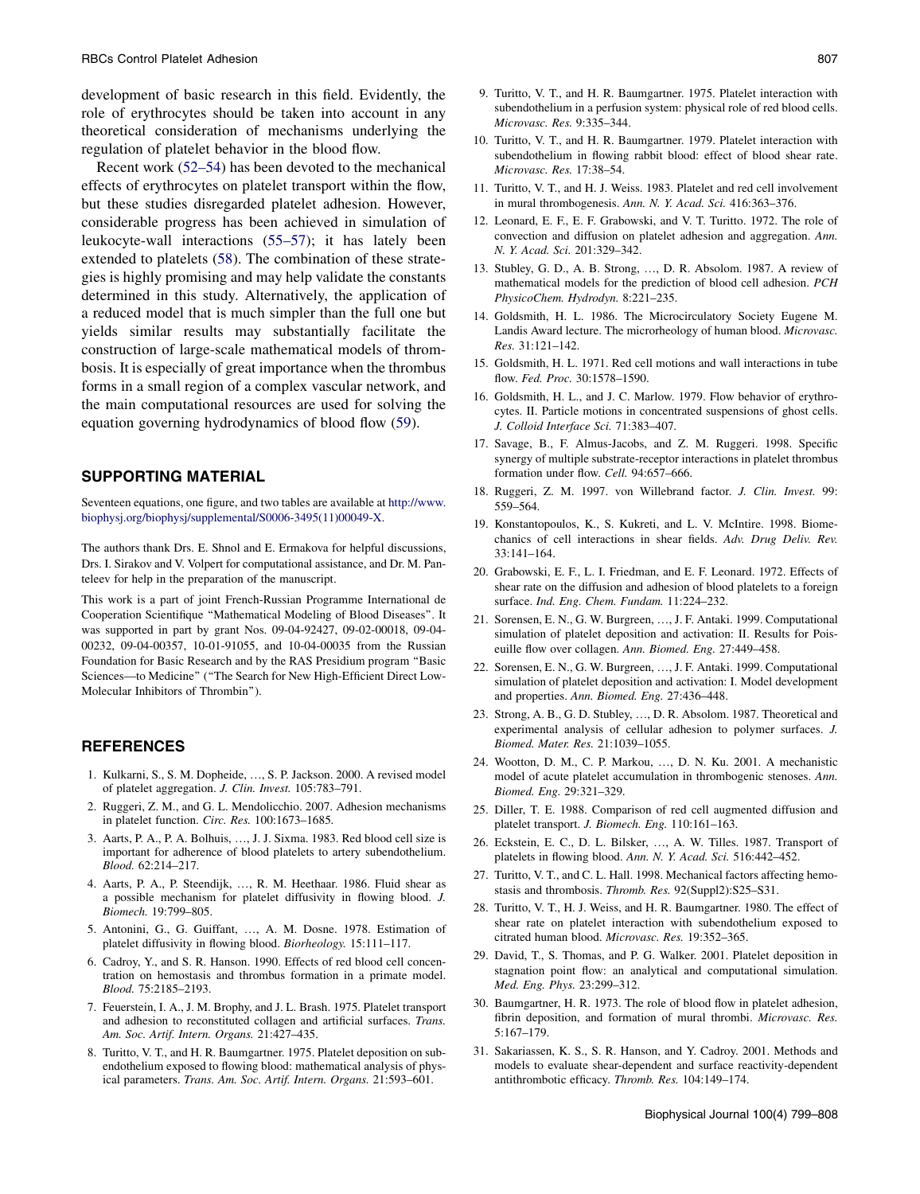<span id="page-8-0"></span>development of basic research in this field. Evidently, the role of erythrocytes should be taken into account in any theoretical consideration of mechanisms underlying the regulation of platelet behavior in the blood flow.

Recent work ([52–54\)](#page-9-0) has been devoted to the mechanical effects of erythrocytes on platelet transport within the flow, but these studies disregarded platelet adhesion. However, considerable progress has been achieved in simulation of leukocyte-wall interactions ([55–57\)](#page-9-0); it has lately been extended to platelets ([58\)](#page-9-0). The combination of these strategies is highly promising and may help validate the constants determined in this study. Alternatively, the application of a reduced model that is much simpler than the full one but yields similar results may substantially facilitate the construction of large-scale mathematical models of thrombosis. It is especially of great importance when the thrombus forms in a small region of a complex vascular network, and the main computational resources are used for solving the equation governing hydrodynamics of blood flow ([59\)](#page-9-0).

#### SUPPORTING MATERIAL

Seventeen equations, one figure, and two tables are available at [http://www.](http://www.biophysj.org/biophysj/supplemental/S0006-3495(11)00049-X) [biophysj.org/biophysj/supplemental/S0006-3495\(11\)00049-X](http://www.biophysj.org/biophysj/supplemental/S0006-3495(11)00049-X).

The authors thank Drs. E. Shnol and E. Ermakova for helpful discussions, Drs. I. Sirakov and V. Volpert for computational assistance, and Dr. M. Panteleev for help in the preparation of the manuscript.

This work is a part of joint French-Russian Programme International de Cooperation Scientifique ''Mathematical Modeling of Blood Diseases''. It was supported in part by grant Nos. 09-04-92427, 09-02-00018, 09-04- 00232, 09-04-00357, 10-01-91055, and 10-04-00035 from the Russian Foundation for Basic Research and by the RAS Presidium program ''Basic Sciences—to Medicine" ("The Search for New High-Efficient Direct Low-Molecular Inhibitors of Thrombin'').

## **REFERENCES**

- 1. Kulkarni, S., S. M. Dopheide, ., S. P. Jackson. 2000. A revised model of platelet aggregation. J. Clin. Invest. 105:783–791.
- 2. Ruggeri, Z. M., and G. L. Mendolicchio. 2007. Adhesion mechanisms in platelet function. Circ. Res. 100:1673–1685.
- 3. Aarts, P. A., P. A. Bolhuis, ., J. J. Sixma. 1983. Red blood cell size is important for adherence of blood platelets to artery subendothelium. Blood. 62:214–217.
- 4. Aarts, P. A., P. Steendijk, ., R. M. Heethaar. 1986. Fluid shear as a possible mechanism for platelet diffusivity in flowing blood. J. Biomech. 19:799–805.
- 5. Antonini, G., G. Guiffant, ..., A. M. Dosne. 1978. Estimation of platelet diffusivity in flowing blood. Biorheology. 15:111–117.
- 6. Cadroy, Y., and S. R. Hanson. 1990. Effects of red blood cell concentration on hemostasis and thrombus formation in a primate model. Blood. 75:2185–2193.
- 7. Feuerstein, I. A., J. M. Brophy, and J. L. Brash. 1975. Platelet transport and adhesion to reconstituted collagen and artificial surfaces. Trans. Am. Soc. Artif. Intern. Organs. 21:427–435.
- 8. Turitto, V. T., and H. R. Baumgartner. 1975. Platelet deposition on subendothelium exposed to flowing blood: mathematical analysis of physical parameters. Trans. Am. Soc. Artif. Intern. Organs. 21:593–601.
- 9. Turitto, V. T., and H. R. Baumgartner. 1975. Platelet interaction with subendothelium in a perfusion system: physical role of red blood cells. Microvasc. Res. 9:335–344.
- 10. Turitto, V. T., and H. R. Baumgartner. 1979. Platelet interaction with subendothelium in flowing rabbit blood: effect of blood shear rate. Microvasc. Res. 17:38–54.
- 11. Turitto, V. T., and H. J. Weiss. 1983. Platelet and red cell involvement in mural thrombogenesis. Ann. N. Y. Acad. Sci. 416:363–376.
- 12. Leonard, E. F., E. F. Grabowski, and V. T. Turitto. 1972. The role of convection and diffusion on platelet adhesion and aggregation. Ann. N. Y. Acad. Sci. 201:329–342.
- 13. Stubley, G. D., A. B. Strong, ., D. R. Absolom. 1987. A review of mathematical models for the prediction of blood cell adhesion. PCH PhysicoChem. Hydrodyn. 8:221–235.
- 14. Goldsmith, H. L. 1986. The Microcirculatory Society Eugene M. Landis Award lecture. The microrheology of human blood. Microvasc. Res. 31:121–142.
- 15. Goldsmith, H. L. 1971. Red cell motions and wall interactions in tube flow. Fed. Proc. 30:1578–1590.
- 16. Goldsmith, H. L., and J. C. Marlow. 1979. Flow behavior of erythrocytes. II. Particle motions in concentrated suspensions of ghost cells. J. Colloid Interface Sci. 71:383–407.
- 17. Savage, B., F. Almus-Jacobs, and Z. M. Ruggeri. 1998. Specific synergy of multiple substrate-receptor interactions in platelet thrombus formation under flow. Cell. 94:657–666.
- 18. Ruggeri, Z. M. 1997. von Willebrand factor. J. Clin. Invest. 99: 559–564.
- 19. Konstantopoulos, K., S. Kukreti, and L. V. McIntire. 1998. Biomechanics of cell interactions in shear fields. Adv. Drug Deliv. Rev. 33:141–164.
- 20. Grabowski, E. F., L. I. Friedman, and E. F. Leonard. 1972. Effects of shear rate on the diffusion and adhesion of blood platelets to a foreign surface. Ind. Eng. Chem. Fundam. 11:224–232.
- 21. Sorensen, E. N., G. W. Burgreen, ..., J. F. Antaki. 1999. Computational simulation of platelet deposition and activation: II. Results for Poiseuille flow over collagen. Ann. Biomed. Eng. 27:449–458.
- 22. Sorensen, E. N., G. W. Burgreen, ..., J. F. Antaki. 1999. Computational simulation of platelet deposition and activation: I. Model development and properties. Ann. Biomed. Eng. 27:436–448.
- 23. Strong, A. B., G. D. Stubley, ., D. R. Absolom. 1987. Theoretical and experimental analysis of cellular adhesion to polymer surfaces. J. Biomed. Mater. Res. 21:1039–1055.
- 24. Wootton, D. M., C. P. Markou, ., D. N. Ku. 2001. A mechanistic model of acute platelet accumulation in thrombogenic stenoses. Ann. Biomed. Eng. 29:321–329.
- 25. Diller, T. E. 1988. Comparison of red cell augmented diffusion and platelet transport. J. Biomech. Eng. 110:161–163.
- 26. Eckstein, E. C., D. L. Bilsker, ., A. W. Tilles. 1987. Transport of platelets in flowing blood. Ann. N. Y. Acad. Sci. 516:442–452.
- 27. Turitto, V. T., and C. L. Hall. 1998. Mechanical factors affecting hemostasis and thrombosis. Thromb. Res. 92(Suppl2):S25–S31.
- 28. Turitto, V. T., H. J. Weiss, and H. R. Baumgartner. 1980. The effect of shear rate on platelet interaction with subendothelium exposed to citrated human blood. Microvasc. Res. 19:352–365.
- 29. David, T., S. Thomas, and P. G. Walker. 2001. Platelet deposition in stagnation point flow: an analytical and computational simulation. Med. Eng. Phys. 23:299–312.
- 30. Baumgartner, H. R. 1973. The role of blood flow in platelet adhesion, fibrin deposition, and formation of mural thrombi. Microvasc. Res. 5:167–179.
- 31. Sakariassen, K. S., S. R. Hanson, and Y. Cadroy. 2001. Methods and models to evaluate shear-dependent and surface reactivity-dependent antithrombotic efficacy. Thromb. Res. 104:149–174.